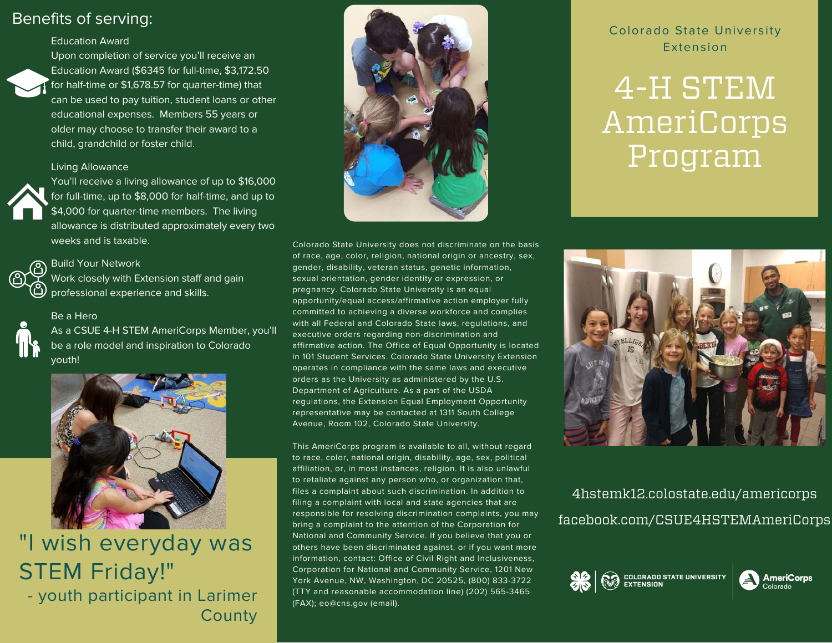### Benefits of serving:

#### Education Award

Upon completion of service you'll receive an Education Award (\$6345 for full-time, \$3,172.50 for half-time or \$1,678.57 for quarter-time) that can be used to pay tuition, student loans or other educational expenses. Members 55 years or older may choose to transfer their award to a child, grandchild or foster child.

#### Living Allowance



You'll receive a living allowance of up to \$16,000 for full-time, up to \$8,000 for half-time, and up to \$4,000 for quarter-time members. The living allowance is distributed approximately every two weeks and is taxable.



 $\overline{Q}$ ) Build Your Network Work closely with Extension staff and gain professional experience and skills.

#### Be a Hero

As a CSUE 4-H STEM AmeriCorps Member, you'll be a role model and inspiration to Colorado youth!



"I wish everyday was STEM Friday!" - youth participant in Larimer **County** 



Colorado State University does not discriminate on the basis of race, age, color, religion, national origin or ancestry, sex, gender, disability, veteran status, genetic information, sexual orientation, gender identity or expression, or pregnancy. Colorado State University is an equal opportunity/equal access/affirmative action employer fully committed to achieving a diverse workforce and complies with all Federal and Colorado State laws, regulations, and executive orders regarding non-discrimination and affirmative action. The Office of Equal Opportunity is located in 101 Student Services. Colorado State University Extension operates in compliance with the same laws and executive orders as the University as administered by the U.S. Department of Agriculture. As a part of the USDA regulations, the Extension Equal Employment Opportunity representative may be contacted at 1311 South College Avenue, Room 102, Colorado State University.

This AmeriCorps program is available to all, without regard to race, color, national origin, disability, age, sex, political affiliation, or, in most instances, religion. It is also unlawful to retaliate against any person who, or organization that, files a complaint about such discrimination. In addition to filing a complaint with local and state agencies that are responsible for resolving discrimination complaints, you may bring a complaint to the attention of the Corporation for National and Community Service. If you believe that you or others have been discriminated against, or if you want more information, contact: Office of Civil Right and Inclusiveness, Corporation for National and Community Service, 1201 New York Avenue, NW, Washington, DC 20525, (800) 833-3722 (TTY and reasonable accommodation line) (202) 565-3465 (FAX); eo@cns.gov (email).

### Colorado State University Extension

# 4-H STEM AmeriCorps Program



4hstemk12.colostate.edu/americorps facebook.com/CSUE4HSTEMAmeriCorps